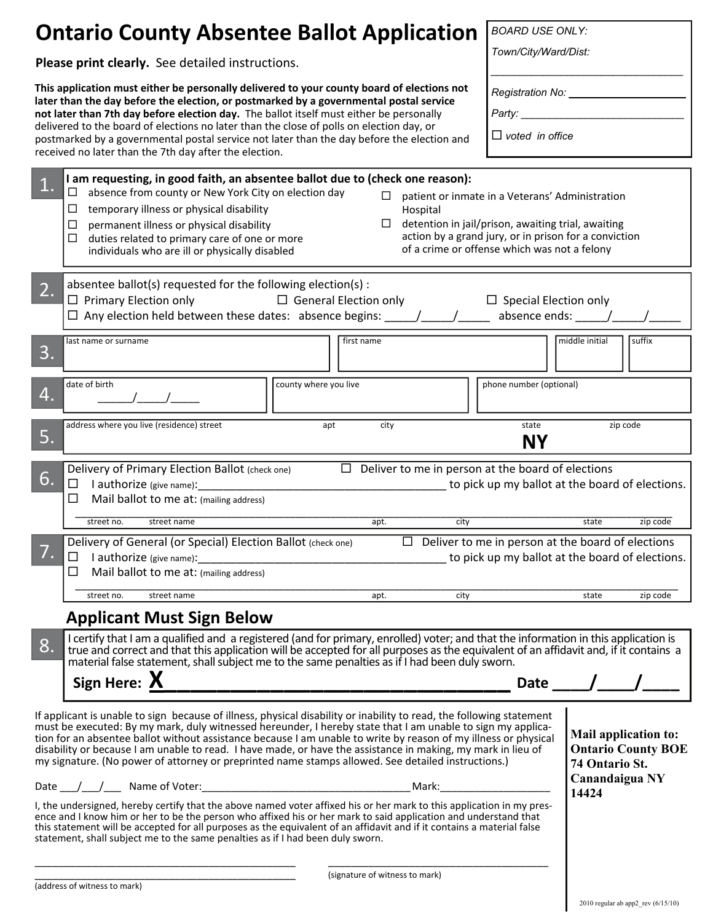| <b>Ontario County Absentee Ballot Application</b>                                                                                                                                                                                                                                                                                                                                                                                                                                                                                                                                                                                                                                                                                                                                                                                                                                                                                                                                                                                                                                                                                             |                                                                                                                                                                                                                                                                                                                                                                                                                                                                                                                                                                                                             | <b>BOARD USE ONLY:</b>                                                   |                                                                               |  |
|-----------------------------------------------------------------------------------------------------------------------------------------------------------------------------------------------------------------------------------------------------------------------------------------------------------------------------------------------------------------------------------------------------------------------------------------------------------------------------------------------------------------------------------------------------------------------------------------------------------------------------------------------------------------------------------------------------------------------------------------------------------------------------------------------------------------------------------------------------------------------------------------------------------------------------------------------------------------------------------------------------------------------------------------------------------------------------------------------------------------------------------------------|-------------------------------------------------------------------------------------------------------------------------------------------------------------------------------------------------------------------------------------------------------------------------------------------------------------------------------------------------------------------------------------------------------------------------------------------------------------------------------------------------------------------------------------------------------------------------------------------------------------|--------------------------------------------------------------------------|-------------------------------------------------------------------------------|--|
| Please print clearly. See detailed instructions.                                                                                                                                                                                                                                                                                                                                                                                                                                                                                                                                                                                                                                                                                                                                                                                                                                                                                                                                                                                                                                                                                              |                                                                                                                                                                                                                                                                                                                                                                                                                                                                                                                                                                                                             |                                                                          | Town/City/Ward/Dist:                                                          |  |
| This application must either be personally delivered to your county board of elections not<br>later than the day before the election, or postmarked by a governmental postal service<br>not later than 7th day before election day. The ballot itself must either be personally<br>delivered to the board of elections no later than the close of polls on election day, or<br>postmarked by a governmental postal service not later than the day before the election and<br>received no later than the 7th day after the election.                                                                                                                                                                                                                                                                                                                                                                                                                                                                                                                                                                                                           |                                                                                                                                                                                                                                                                                                                                                                                                                                                                                                                                                                                                             | Registration No: ____<br>Party: ______________<br>$\Box$ voted in office |                                                                               |  |
|                                                                                                                                                                                                                                                                                                                                                                                                                                                                                                                                                                                                                                                                                                                                                                                                                                                                                                                                                                                                                                                                                                                                               | I am requesting, in good faith, an absentee ballot due to (check one reason):<br>absence from county or New York City on election day<br>⊔<br>$\Box$<br>patient or inmate in a Veterans' Administration<br>temporary illness or physical disability<br>ப<br>Hospital<br>detention in jail/prison, awaiting trial, awaiting<br>$\Box$<br>$\Box$<br>permanent illness or physical disability<br>action by a grand jury, or in prison for a conviction<br>duties related to primary care of one or more<br>□<br>of a crime or offense which was not a felony<br>individuals who are ill or physically disabled |                                                                          |                                                                               |  |
| 2.                                                                                                                                                                                                                                                                                                                                                                                                                                                                                                                                                                                                                                                                                                                                                                                                                                                                                                                                                                                                                                                                                                                                            | absentee ballot(s) requested for the following election(s) :<br>$\Box$ Primary Election only<br>$\Box$ General Election only<br>$\square$ Special Election only<br>$\Box$ Any election held between these dates: absence begins: $\qquad$ /<br>absence ends: $\frac{1}{\sqrt{1-\frac{1}{2}}}\left  \frac{1}{2} + \frac{1}{2} \right $                                                                                                                                                                                                                                                                       |                                                                          |                                                                               |  |
| 3.                                                                                                                                                                                                                                                                                                                                                                                                                                                                                                                                                                                                                                                                                                                                                                                                                                                                                                                                                                                                                                                                                                                                            | first name<br>last name or surname                                                                                                                                                                                                                                                                                                                                                                                                                                                                                                                                                                          |                                                                          | middle initial<br>suffix                                                      |  |
| 4.                                                                                                                                                                                                                                                                                                                                                                                                                                                                                                                                                                                                                                                                                                                                                                                                                                                                                                                                                                                                                                                                                                                                            | date of birth<br>county where you live                                                                                                                                                                                                                                                                                                                                                                                                                                                                                                                                                                      | phone number (optional)                                                  |                                                                               |  |
| 5.                                                                                                                                                                                                                                                                                                                                                                                                                                                                                                                                                                                                                                                                                                                                                                                                                                                                                                                                                                                                                                                                                                                                            | address where you live (residence) street<br>apt<br>city                                                                                                                                                                                                                                                                                                                                                                                                                                                                                                                                                    | state<br><b>NY</b>                                                       | zip code                                                                      |  |
| 6.                                                                                                                                                                                                                                                                                                                                                                                                                                                                                                                                                                                                                                                                                                                                                                                                                                                                                                                                                                                                                                                                                                                                            | $\Box$ Deliver to me in person at the board of elections<br>Delivery of Primary Election Ballot (check one)<br>I authorize (give name):<br>to pick up my ballot at the board of elections.<br>□<br>Mail ballot to me at: (mailing address)<br>ப<br>street no.<br>street name<br>city<br>state<br>zip code<br>apt.                                                                                                                                                                                                                                                                                           |                                                                          |                                                                               |  |
|                                                                                                                                                                                                                                                                                                                                                                                                                                                                                                                                                                                                                                                                                                                                                                                                                                                                                                                                                                                                                                                                                                                                               | Delivery of General (or Special) Election Ballot (check one)<br>$\Box$<br>Mail ballot to me at: (mailing address)<br>$\Box$<br>city<br>apt.<br>street no.<br>street name                                                                                                                                                                                                                                                                                                                                                                                                                                    |                                                                          | $\Box$ Deliver to me in person at the board of elections<br>state<br>zip code |  |
|                                                                                                                                                                                                                                                                                                                                                                                                                                                                                                                                                                                                                                                                                                                                                                                                                                                                                                                                                                                                                                                                                                                                               | <b>Applicant Must Sign Below</b>                                                                                                                                                                                                                                                                                                                                                                                                                                                                                                                                                                            |                                                                          |                                                                               |  |
| I certify that I am a qualified and a registered (and for primary, enrolled) voter; and that the information in this application is<br>8.<br>true and correct and that this application will be accepted for all purposes as the equivalent of an affidavit and, if it contains a<br>material false statement, shall subject me to the same penalties as if I had been duly sworn.<br>Sign Here: $X$<br>Date $\frac{1}{\sqrt{1-\frac{1}{2}}}$                                                                                                                                                                                                                                                                                                                                                                                                                                                                                                                                                                                                                                                                                                 |                                                                                                                                                                                                                                                                                                                                                                                                                                                                                                                                                                                                             |                                                                          |                                                                               |  |
| If applicant is unable to sign because of illness, physical disability or inability to read, the following statement<br>must be executed: By my mark, duly witnessed hereunder, I hereby state that I am unable to sign my applica-<br><b>Mail application to:</b><br>tion for an absentee ballot without assistance because I am unable to write by reason of my illness or physical<br><b>Ontario County BOE</b><br>disability or because I am unable to read. I have made, or have the assistance in making, my mark in lieu of<br>my signature. (No power of attorney or preprinted name stamps allowed. See detailed instructions.)<br>74 Ontario St.<br>Canandaigua NY<br>14424<br>I, the undersigned, hereby certify that the above named voter affixed his or her mark to this application in my pres-<br>ence and I know him or her to be the person who affixed his or her mark to said application and understand that<br>this statement will be accepted for all purposes as the equivalent of an affidavit and if it contains a material false<br>statement, shall subject me to the same penalties as if I had been duly sworn. |                                                                                                                                                                                                                                                                                                                                                                                                                                                                                                                                                                                                             |                                                                          |                                                                               |  |
|                                                                                                                                                                                                                                                                                                                                                                                                                                                                                                                                                                                                                                                                                                                                                                                                                                                                                                                                                                                                                                                                                                                                               |                                                                                                                                                                                                                                                                                                                                                                                                                                                                                                                                                                                                             |                                                                          |                                                                               |  |

(signature of witness to mark)